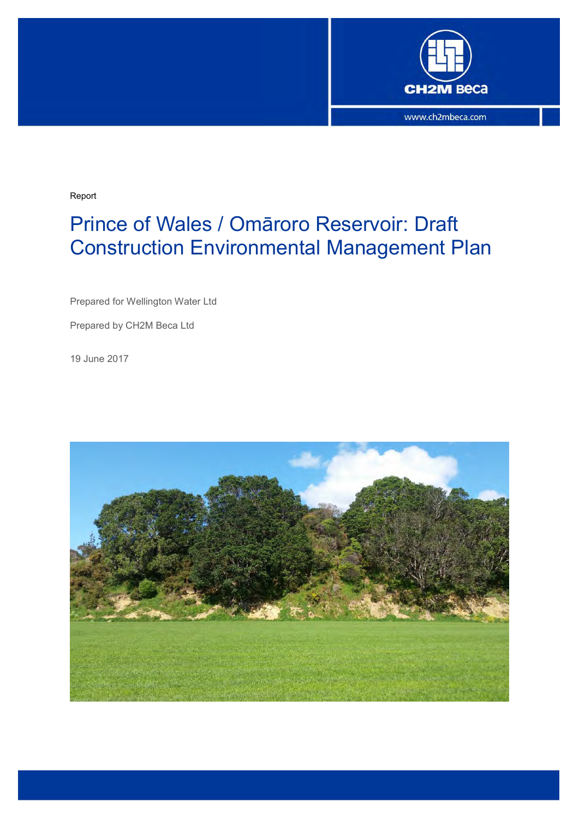

Report

# Prince of Wales / Omāroro Reservoir: Draft Construction Environmental Management Plan

Prepared for Wellington Water Ltd

Prepared by CH2M Beca Ltd

19 June 2017

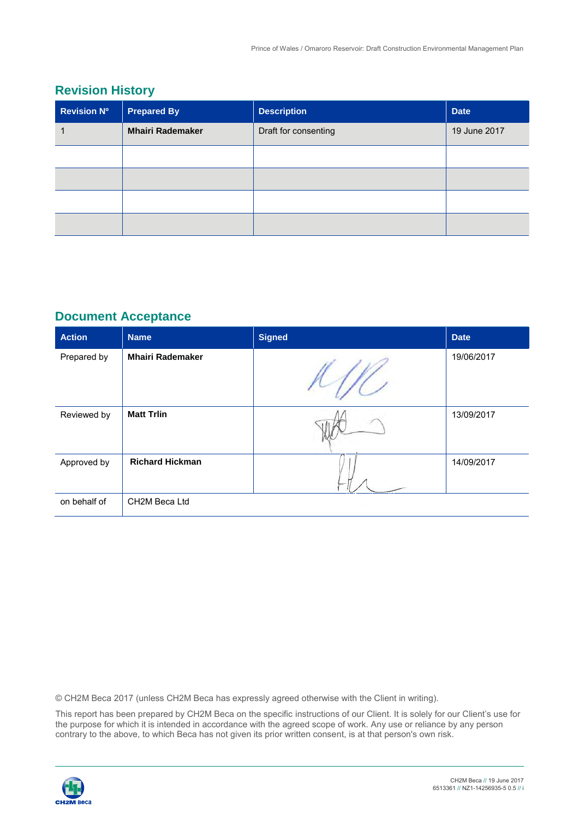## **Revision History**

| <b>Revision Nº</b> | <b>Prepared By</b>      | <b>Description</b>   | <b>Date</b>  |
|--------------------|-------------------------|----------------------|--------------|
|                    | <b>Mhairi Rademaker</b> | Draft for consenting | 19 June 2017 |
|                    |                         |                      |              |
|                    |                         |                      |              |
|                    |                         |                      |              |
|                    |                         |                      |              |

## **Document Acceptance**

| <b>Action</b> | <b>Name</b>             | <b>Signed</b> | <b>Date</b> |
|---------------|-------------------------|---------------|-------------|
| Prepared by   | <b>Mhairi Rademaker</b> |               | 19/06/2017  |
| Reviewed by   | <b>Matt Trlin</b>       |               | 13/09/2017  |
| Approved by   | <b>Richard Hickman</b>  |               | 14/09/2017  |
| on behalf of  | CH2M Beca Ltd           |               |             |

© CH2M Beca 2017 (unless CH2M Beca has expressly agreed otherwise with the Client in writing).

 the purpose for which it is intended in accordance with the agreed scope of work. Any use or reliance by any person contrary to the above, to which Beca has not given its prior written consent, is at that person's own risk. This report has been prepared by CH2M Beca on the specific instructions of our Client. It is solely for our Client's use for

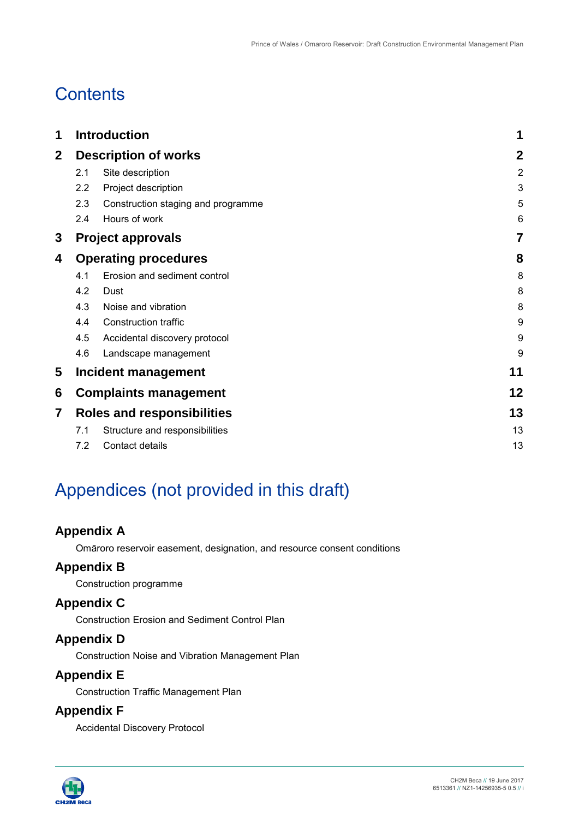# **Contents**

| 1           | <b>Introduction</b>               |                                    | 1              |
|-------------|-----------------------------------|------------------------------------|----------------|
| $\mathbf 2$ |                                   | <b>Description of works</b>        | $\mathbf{2}$   |
|             | 2.1                               | Site description                   | $\overline{2}$ |
|             | 2.2                               | Project description                | 3              |
|             | 2.3                               | Construction staging and programme | 5              |
|             | 2.4                               | Hours of work                      | 6              |
| 3           |                                   | <b>Project approvals</b>           | 7              |
| 4           | <b>Operating procedures</b>       |                                    | 8              |
|             | 4.1                               | Erosion and sediment control       | 8              |
|             | 4.2                               | Dust                               | 8              |
|             | 4.3                               | Noise and vibration                | 8              |
|             | 4.4                               | <b>Construction traffic</b>        | 9              |
|             | 4.5                               | Accidental discovery protocol      | 9              |
|             | 4.6                               | Landscape management               | 9              |
| 5           |                                   | Incident management                | 11             |
| 6           |                                   | <b>Complaints management</b>       | 12             |
| 7           | <b>Roles and responsibilities</b> |                                    | 13             |
|             | 7.1                               | Structure and responsibilities     | 13             |
|             | 7.2                               | Contact details                    | 13             |

# Appendices (not provided in this draft)

## **Appendix A**

Omāroro reservoir easement, designation, and resource consent conditions

## **Appendix B**

Construction programme

# **Appendix C**

Construction Erosion and Sediment Control Plan

## **Appendix D**

Construction Noise and Vibration Management Plan

## **Appendix E**

Construction Traffic Management Plan

## **Appendix F**

Accidental Discovery Protocol

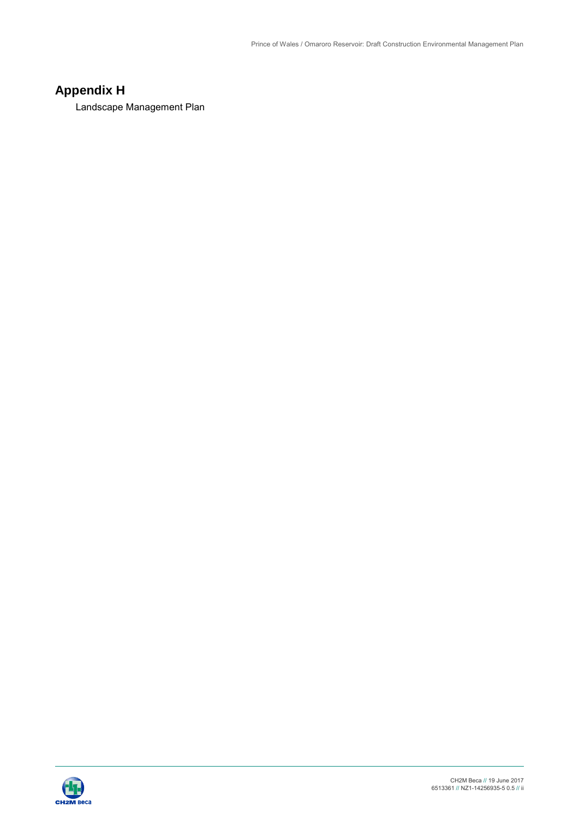# **Appendix H**

Landscape Management Plan

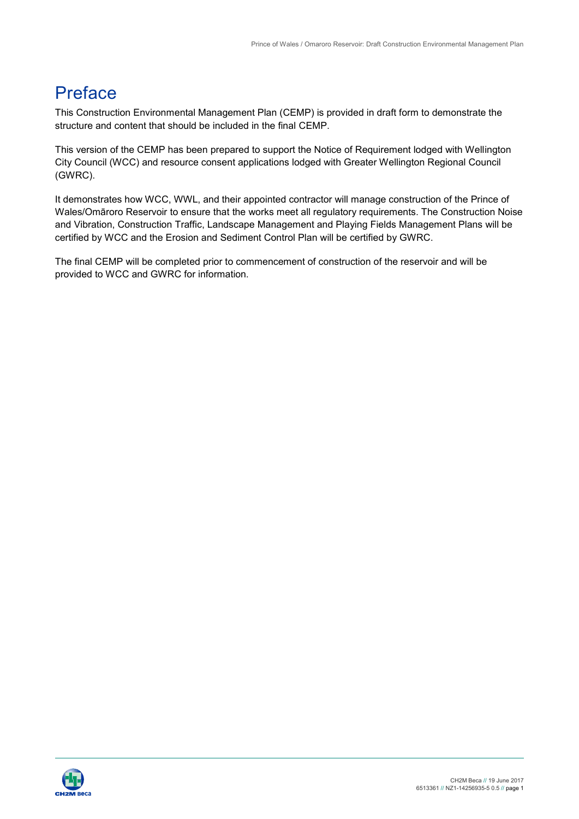# Preface

 structure and content that should be included in the final CEMP. This Construction Environmental Management Plan (CEMP) is provided in draft form to demonstrate the

 City Council (WCC) and resource consent applications lodged with Greater Wellington Regional Council This version of the CEMP has been prepared to support the Notice of Requirement lodged with Wellington (GWRC).

 Wales/Omāroro Reservoir to ensure that the works meet all regulatory requirements. The Construction Noise certified by WCC and the Erosion and Sediment Control Plan will be certified by GWRC. It demonstrates how WCC, WWL, and their appointed contractor will manage construction of the Prince of and Vibration, Construction Traffic, Landscape Management and Playing Fields Management Plans will be

 The final CEMP will be completed prior to commencement of construction of the reservoir and will be provided to WCC and GWRC for information.

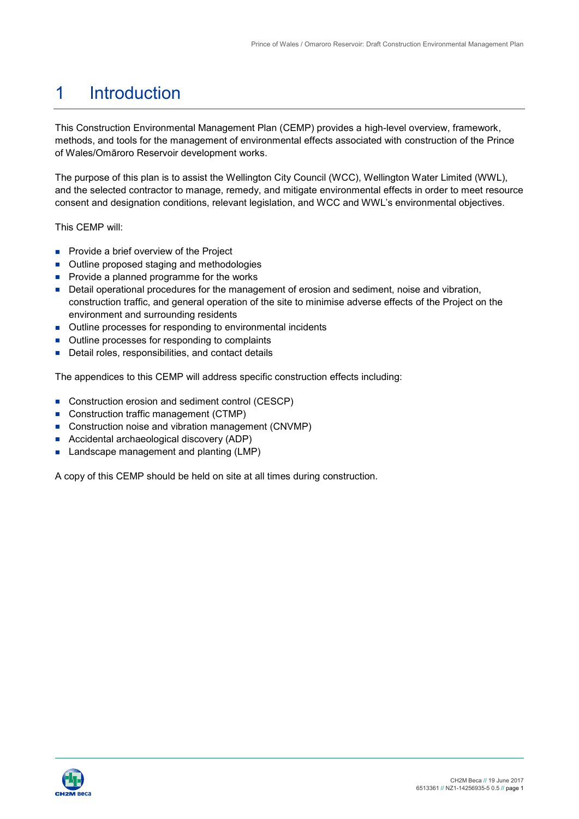#### 1 **Introduction**

 methods, and tools for the management of environmental effects associated with construction of the Prince This Construction Environmental Management Plan (CEMP) provides a high-level overview, framework, of Wales/Omāroro Reservoir development works.

 The purpose of this plan is to assist the Wellington City Council (WCC), Wellington Water Limited (WWL), and the selected contractor to manage, remedy, and mitigate environmental effects in order to meet resource consent and designation conditions, relevant legislation, and WCC and WWL's environmental objectives.

This CEMP will:

- **Provide a brief overview of the Project**
- Outline proposed staging and methodologies
- **Provide a planned programme for the works**
- **Detail operational procedures for the management of erosion and sediment, noise and vibration,** construction traffic, and general operation of the site to minimise adverse effects of the Project on the environment and surrounding residents
- Outline processes for responding to environmental incidents
- **Dutline processes for responding to complaints**
- Detail roles, responsibilities, and contact details

The appendices to this CEMP will address specific construction effects including:

- Construction erosion and sediment control (CESCP)
- Construction traffic management (CTMP)
- Construction noise and vibration management (CNVMP)
- Accidental archaeological discovery (ADP)
- **Landscape management and planting (LMP)**

A copy of this CEMP should be held on site at all times during construction.

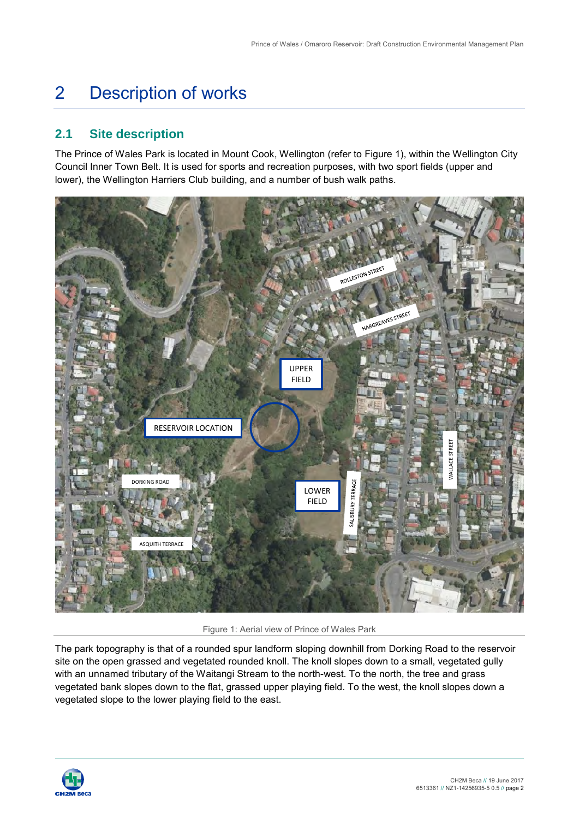#### 2 Description of works

# **2.1 Site description**

 lower), the Wellington Harriers Club building, and a number of bush walk paths. The Prince of Wales Park is located in Mount Cook, Wellington (refer to [Figure 1\)](#page-6-0), within the Wellington City Council Inner Town Belt. It is used for sports and recreation purposes, with two sport fields (upper and



Figure 1: Aerial view of Prince of Wales Park

<span id="page-6-0"></span> with an unnamed tributary of the Waitangi Stream to the north-west. To the north, the tree and grass The park topography is that of a rounded spur landform sloping downhill from Dorking Road to the reservoir site on the open grassed and vegetated rounded knoll. The knoll slopes down to a small, vegetated gully vegetated bank slopes down to the flat, grassed upper playing field. To the west, the knoll slopes down a vegetated slope to the lower playing field to the east.

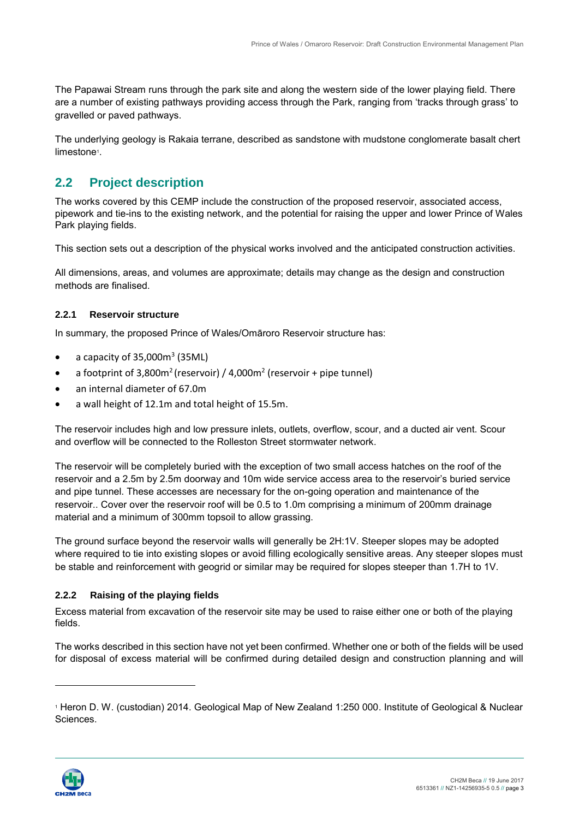are a number of existing pathways providing access through the Park, ranging from 'tracks through grass' to The Papawai Stream runs through the park site and along the western side of the lower playing field. There gravelled or paved pathways.

 The underlying geology is Rakaia terrane, described as sandstone with mudstone conglomerate basalt chert limestone<sup>1</sup>.

# **2.2 Project description**

 The works covered by this CEMP include the construction of the proposed reservoir, associated access, pipework and tie-ins to the existing network, and the potential for raising the upper and lower Prince of Wales Park playing fields.

This section sets out a description of the physical works involved and the anticipated construction activities.

 All dimensions, areas, and volumes are approximate; details may change as the design and construction methods are finalised.

#### **2.2.1 Reservoir structure**

In summary, the proposed Prince of Wales/Omāroro Reservoir structure has:

- a capacity of  $35,000$ m<sup>3</sup> (35ML)
- a footprint of 3,800 $m^2$  (reservoir) / 4,000 $m^2$  (reservoir + pipe tunnel)
- an internal diameter of 67.0m
- a wall height of 12.1m and total height of 15.5m.

 The reservoir includes high and low pressure inlets, outlets, overflow, scour, and a ducted air vent. Scour and overflow will be connected to the Rolleston Street stormwater network.

 The reservoir will be completely buried with the exception of two small access hatches on the roof of the reservoir and a 2.5m by 2.5m doorway and 10m wide service access area to the reservoir's buried service reservoir.. Cover over the reservoir roof will be 0.5 to 1.0m comprising a minimum of 200mm drainage and pipe tunnel. These accesses are necessary for the on-going operation and maintenance of the material and a minimum of 300mm topsoil to allow grassing.

 The ground surface beyond the reservoir walls will generally be 2H:1V. Steeper slopes may be adopted be stable and reinforcement with geogrid or similar may be required for slopes steeper than 1.7H to 1V. where required to tie into existing slopes or avoid filling ecologically sensitive areas. Any steeper slopes must

#### **2.2.2 Raising of the playing fields**

 Excess material from excavation of the reservoir site may be used to raise either one or both of the playing fields.

 The works described in this section have not yet been confirmed. Whether one or both of the fields will be used for disposal of excess material will be confirmed during detailed design and construction planning and will



-

 1 Heron D. W. (custodian) 2014. Geological Map of New Zealand 1:250 000. Institute of Geological & Nuclear Sciences.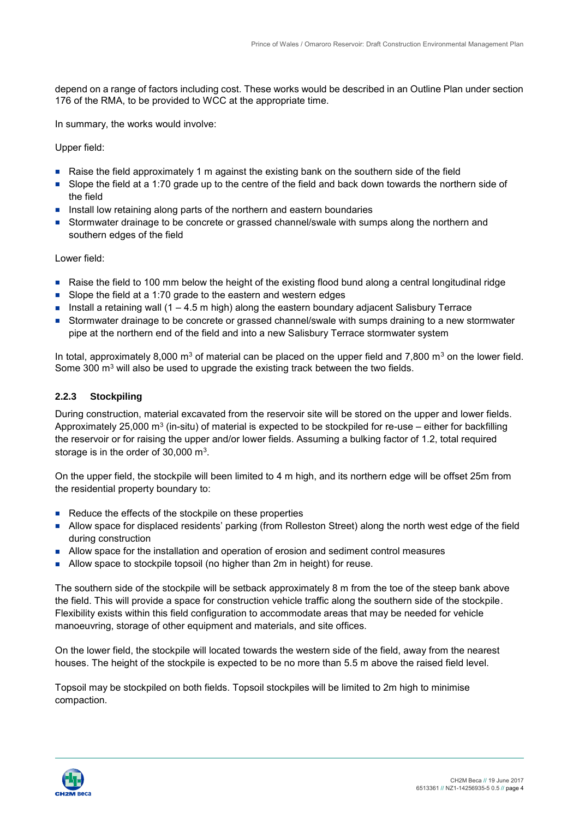depend on a range of factors including cost. These works would be described in an Outline Plan under section 176 of the RMA, to be provided to WCC at the appropriate time.

In summary, the works would involve:

Upper field:

- Raise the field approximately 1 m against the existing bank on the southern side of the field
- Slope the field at a 1:70 grade up to the centre of the field and back down towards the northern side of the field
- Install low retaining along parts of the northern and eastern boundaries
- Stormwater drainage to be concrete or grassed channel/swale with sumps along the northern and southern edges of the field

Lower field:

- Raise the field to 100 mm below the height of the existing flood bund along a central longitudinal ridge
- Slope the field at a 1:70 grade to the eastern and western edges
- Install a retaining wall  $(1 4.5 \text{ m high})$  along the eastern boundary adjacent Salisbury Terrace
- pipe at the northern end of the field and into a new Salisbury Terrace stormwater system **Stormwater drainage to be concrete or grassed channel/swale with sumps draining to a new stormwater**

In total, approximately 8,000 m<sup>3</sup> of material can be placed on the upper field and 7,800 m<sup>3</sup> on the lower field. Some 300  $\text{m}^3$  will also be used to upgrade the existing track between the two fields.

#### **2.2.3 Stockpiling**

Approximately 25,000 m<sup>3</sup> (in-situ) of material is expected to be stockpiled for re-use – either for backfilling storage is in the order of 30,000  $\mathrm{m}^{3}$ . During construction, material excavated from the reservoir site will be stored on the upper and lower fields. the reservoir or for raising the upper and/or lower fields. Assuming a bulking factor of 1.2, total required

 On the upper field, the stockpile will been limited to 4 m high, and its northern edge will be offset 25m from the residential property boundary to:

- Reduce the effects of the stockpile on these properties
- Allow space for displaced residents' parking (from Rolleston Street) along the north west edge of the field during construction
- Allow space for the installation and operation of erosion and sediment control measures
- Allow space to stockpile topsoil (no higher than 2m in height) for reuse.

 The southern side of the stockpile will be setback approximately 8 m from the toe of the steep bank above the field. This will provide a space for construction vehicle traffic along the southern side of the stockpile. manoeuvring, storage of other equipment and materials, and site offices. Flexibility exists within this field configuration to accommodate areas that may be needed for vehicle

 houses. The height of the stockpile is expected to be no more than 5.5 m above the raised field level. On the lower field, the stockpile will located towards the western side of the field, away from the nearest

Topsoil may be stockpiled on both fields. Topsoil stockpiles will be limited to 2m high to minimise compaction.

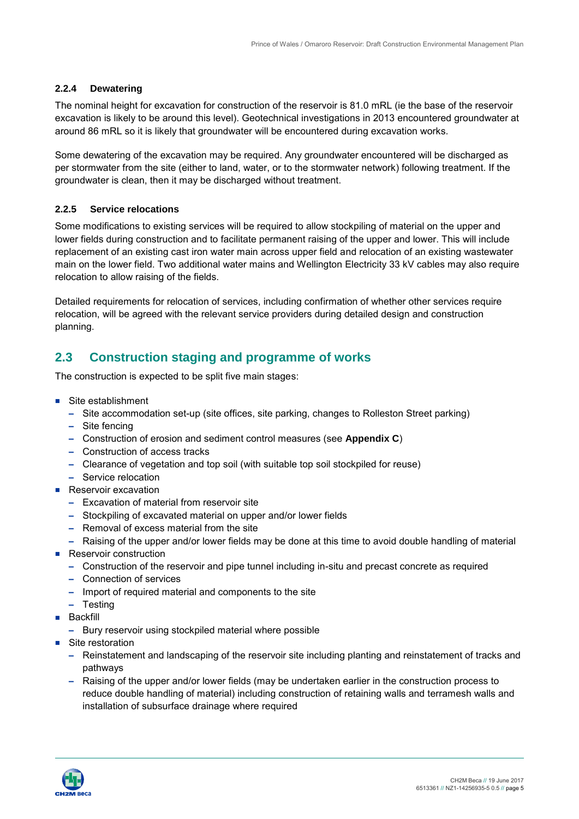#### **2.2.4 Dewatering**

 around 86 mRL so it is likely that groundwater will be encountered during excavation works. The nominal height for excavation for construction of the reservoir is 81.0 mRL (ie the base of the reservoir excavation is likely to be around this level). Geotechnical investigations in 2013 encountered groundwater at

 Some dewatering of the excavation may be required. Any groundwater encountered will be discharged as per stormwater from the site (either to land, water, or to the stormwater network) following treatment. If the groundwater is clean, then it may be discharged without treatment.

#### **2.2.5 Service relocations**

 Some modifications to existing services will be required to allow stockpiling of material on the upper and lower fields during construction and to facilitate permanent raising of the upper and lower. This will include replacement of an existing cast iron water main across upper field and relocation of an existing wastewater main on the lower field. Two additional water mains and Wellington Electricity 33 kV cables may also require relocation to allow raising of the fields.

 relocation, will be agreed with the relevant service providers during detailed design and construction Detailed requirements for relocation of services, including confirmation of whether other services require planning.

# **2.3 Construction staging and programme of works**

The construction is expected to be split five main stages:

- Site establishment
	- – Site accommodation set-up (site offices, site parking, changes to Rolleston Street parking)
	- – Site fencing
	- – Construction of erosion and sediment control measures (see **Appendix C**)
	- Construction of access tracks
	- Clearance of vegetation and top soil (with suitable top soil stockpiled for reuse)
	- – Service relocation
- **Reservoir excavation** 
	- – Excavation of material from reservoir site
	- – Stockpiling of excavated material on upper and/or lower fields
	- Removal of excess material from the site
	- Raising of the upper and/or lower fields may be done at this time to avoid double handling of material
- Reservoir construction
	- Construction of the reservoir and pipe tunnel including in-situ and precast concrete as required
	- – Connection of services
	- Import of required material and components to the site
	- – Testing
- **Backfill** 
	- – Bury reservoir using stockpiled material where possible
- Site restoration
	- Reinstatement and landscaping of the reservoir site including planting and reinstatement of tracks and pathways
	- Raising of the upper and/or lower fields (may be undertaken earlier in the construction process to reduce double handling of material) including construction of retaining walls and terramesh walls and installation of subsurface drainage where required

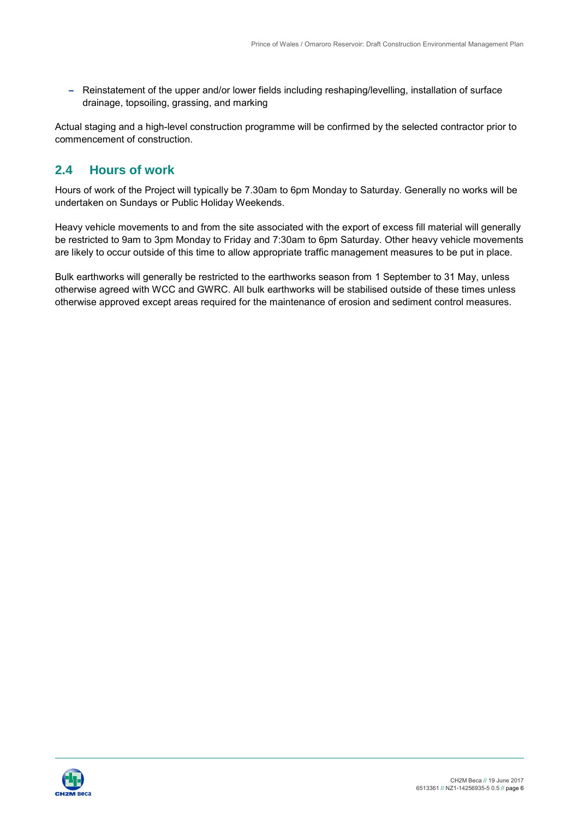- Reinstatement of the upper and/or lower fields including reshaping/levelling, installation of surface drainage, topsoiling, grassing, and marking

Actual staging and a high-level construction programme will be confirmed by the selected contractor prior to commencement of construction.

## **2.4 Hours of work**

 Hours of work of the Project will typically be 7.30am to 6pm Monday to Saturday. Generally no works will be undertaken on Sundays or Public Holiday Weekends.

 Heavy vehicle movements to and from the site associated with the export of excess fill material will generally are likely to occur outside of this time to allow appropriate traffic management measures to be put in place. be restricted to 9am to 3pm Monday to Friday and 7:30am to 6pm Saturday. Other heavy vehicle movements

 Bulk earthworks will generally be restricted to the earthworks season from 1 September to 31 May, unless otherwise agreed with WCC and GWRC. All bulk earthworks will be stabilised outside of these times unless otherwise approved except areas required for the maintenance of erosion and sediment control measures.

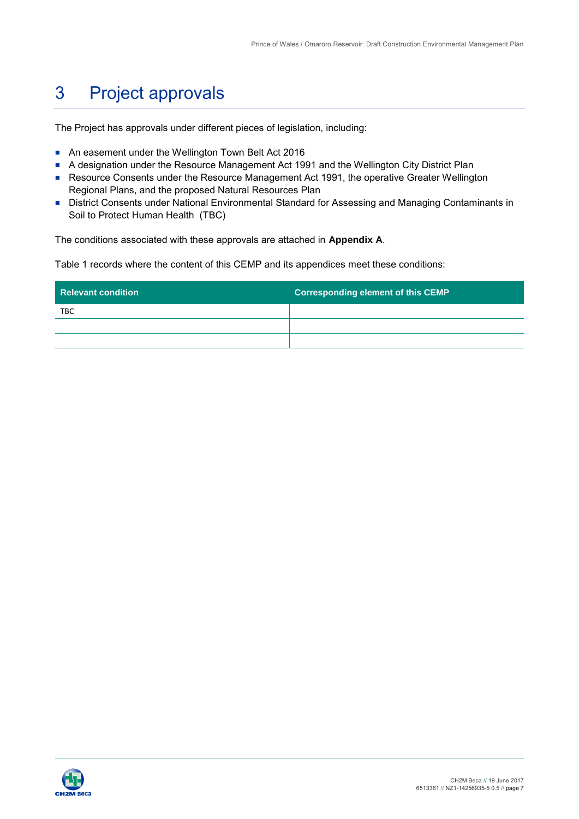#### 3 Project approvals

The Project has approvals under different pieces of legislation, including:

- An easement under the Wellington Town Belt Act 2016
- A designation under the Resource Management Act 1991 and the Wellington City District Plan
- Resource Consents under the Resource Management Act 1991, the operative Greater Wellington Regional Plans, and the proposed Natural Resources Plan
- Soil to Protect Human Health (TBC) ■ District Consents under National Environmental Standard for Assessing and Managing Contaminants in

The conditions associated with these approvals are attached in **Appendix A**.

Table 1 records where the content of this CEMP and its appendices meet these conditions:

| <b>Relevant condition</b> | <b>Corresponding element of this CEMP</b> |
|---------------------------|-------------------------------------------|
| <b>TBC</b>                |                                           |
|                           |                                           |
|                           |                                           |

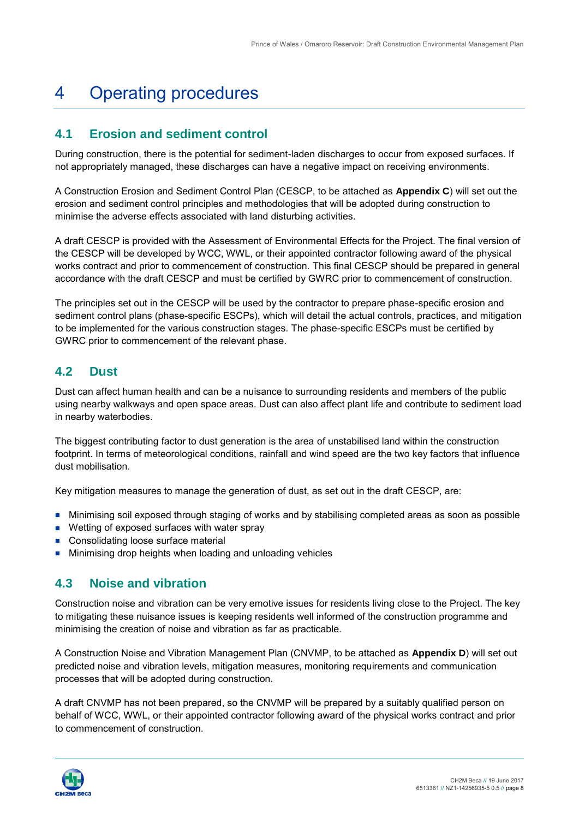#### 4 Operating procedures

## **4.1 Erosion and sediment control**

During construction, there is the potential for sediment-laden discharges to occur from exposed surfaces. If not appropriately managed, these discharges can have a negative impact on receiving environments.

 minimise the adverse effects associated with land disturbing activities. A Construction Erosion and Sediment Control Plan (CESCP, to be attached as **Appendix C**) will set out the erosion and sediment control principles and methodologies that will be adopted during construction to

 A draft CESCP is provided with the Assessment of Environmental Effects for the Project. The final version of the CESCP will be developed by WCC, WWL, or their appointed contractor following award of the physical works contract and prior to commencement of construction. This final CESCP should be prepared in general accordance with the draft CESCP and must be certified by GWRC prior to commencement of construction.

 The principles set out in the CESCP will be used by the contractor to prepare phase-specific erosion and sediment control plans (phase-specific ESCPs), which will detail the actual controls, practices, and mitigation to be implemented for the various construction stages. The phase-specific ESCPs must be certified by GWRC prior to commencement of the relevant phase.

#### **4.2 Dust**

 Dust can affect human health and can be a nuisance to surrounding residents and members of the public using nearby walkways and open space areas. Dust can also affect plant life and contribute to sediment load in nearby waterbodies.

 The biggest contributing factor to dust generation is the area of unstabilised land within the construction footprint. In terms of meteorological conditions, rainfall and wind speed are the two key factors that influence dust mobilisation.

Key mitigation measures to manage the generation of dust, as set out in the draft CESCP, are:

- Minimising soil exposed through staging of works and by stabilising completed areas as soon as possible
- **Wetting of exposed surfaces with water spray**
- Consolidating loose surface material
- **Minimising drop heights when loading and unloading vehicles**

## **4.3 Noise and vibration**

 Construction noise and vibration can be very emotive issues for residents living close to the Project. The key minimising the creation of noise and vibration as far as practicable. to mitigating these nuisance issues is keeping residents well informed of the construction programme and

 A Construction Noise and Vibration Management Plan (CNVMP, to be attached as **Appendix D**) will set out predicted noise and vibration levels, mitigation measures, monitoring requirements and communication processes that will be adopted during construction.

 A draft CNVMP has not been prepared, so the CNVMP will be prepared by a suitably qualified person on behalf of WCC, WWL, or their appointed contractor following award of the physical works contract and prior to commencement of construction.

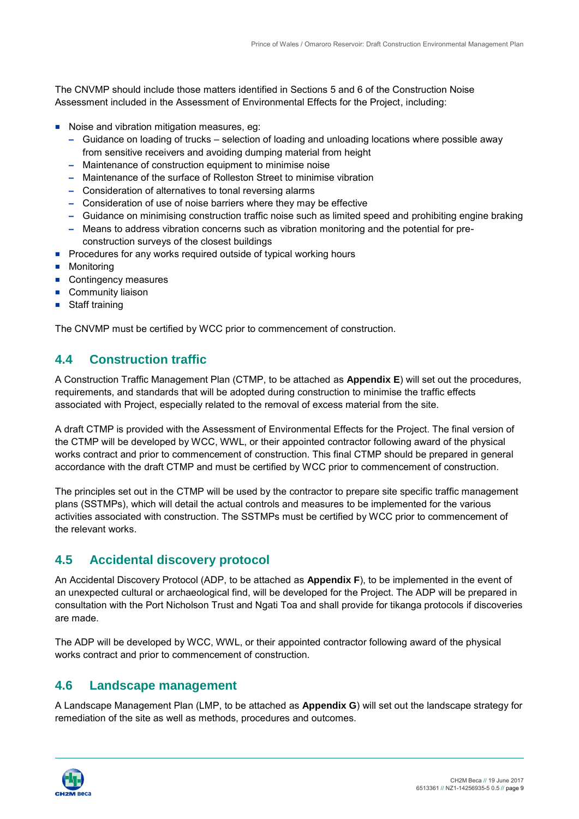The CNVMP should include those matters identified in Sections 5 and 6 of the Construction Noise Assessment included in the Assessment of Environmental Effects for the Project, including:

- Noise and vibration mitigation measures, eg:
	- – Guidance on loading of trucks selection of loading and unloading locations where possible away from sensitive receivers and avoiding dumping material from height
	- – Maintenance of construction equipment to minimise noise
	- – Maintenance of the surface of Rolleston Street to minimise vibration
	- Consideration of alternatives to tonal reversing alarms
	- Consideration of use of noise barriers where they may be effective
	- – Guidance on minimising construction traffic noise such as limited speed and prohibiting engine braking
	- Means to address vibration concerns such as vibration monitoring and the potential for preconstruction surveys of the closest buildings
- **Procedures for any works required outside of typical working hours**
- **Monitoring**
- Contingency measures
- Community liaison
- Staff training

The CNVMP must be certified by WCC prior to commencement of construction.

# **4.4 Construction traffic**

 A Construction Traffic Management Plan (CTMP, to be attached as **Appendix E**) will set out the procedures, associated with Project, especially related to the removal of excess material from the site. requirements, and standards that will be adopted during construction to minimise the traffic effects

 A draft CTMP is provided with the Assessment of Environmental Effects for the Project. The final version of the CTMP will be developed by WCC, WWL, or their appointed contractor following award of the physical works contract and prior to commencement of construction. This final CTMP should be prepared in general accordance with the draft CTMP and must be certified by WCC prior to commencement of construction.

 The principles set out in the CTMP will be used by the contractor to prepare site specific traffic management plans (SSTMPs), which will detail the actual controls and measures to be implemented for the various the relevant works. activities associated with construction. The SSTMPs must be certified by WCC prior to commencement of

## **4.5 Accidental discovery protocol**

 An Accidental Discovery Protocol (ADP, to be attached as **Appendix F**), to be implemented in the event of an unexpected cultural or archaeological find, will be developed for the Project. The ADP will be prepared in consultation with the Port Nicholson Trust and Ngati Toa and shall provide for tikanga protocols if discoveries are made.

 The ADP will be developed by WCC, WWL, or their appointed contractor following award of the physical works contract and prior to commencement of construction.

## **4.6 Landscape management**

 A Landscape Management Plan (LMP, to be attached as **Appendix G**) will set out the landscape strategy for remediation of the site as well as methods, procedures and outcomes.

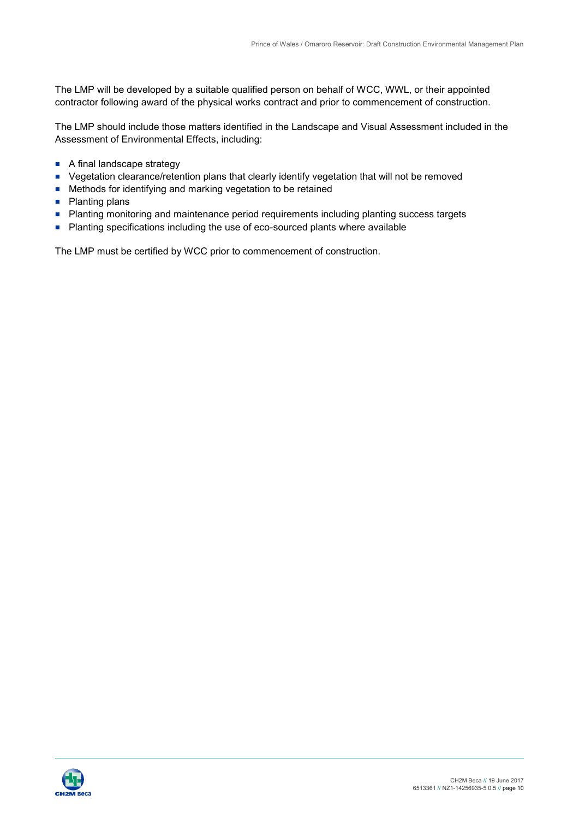The LMP will be developed by a suitable qualified person on behalf of WCC, WWL, or their appointed contractor following award of the physical works contract and prior to commencement of construction.

 The LMP should include those matters identified in the Landscape and Visual Assessment included in the Assessment of Environmental Effects, including:

- A final landscape strategy
- Vegetation clearance/retention plans that clearly identify vegetation that will not be removed
- **Methods for identifying and marking vegetation to be retained**
- Planting plans
- **Planting monitoring and maintenance period requirements including planting success targets**
- **Planting specifications including the use of eco-sourced plants where available**

The LMP must be certified by WCC prior to commencement of construction.

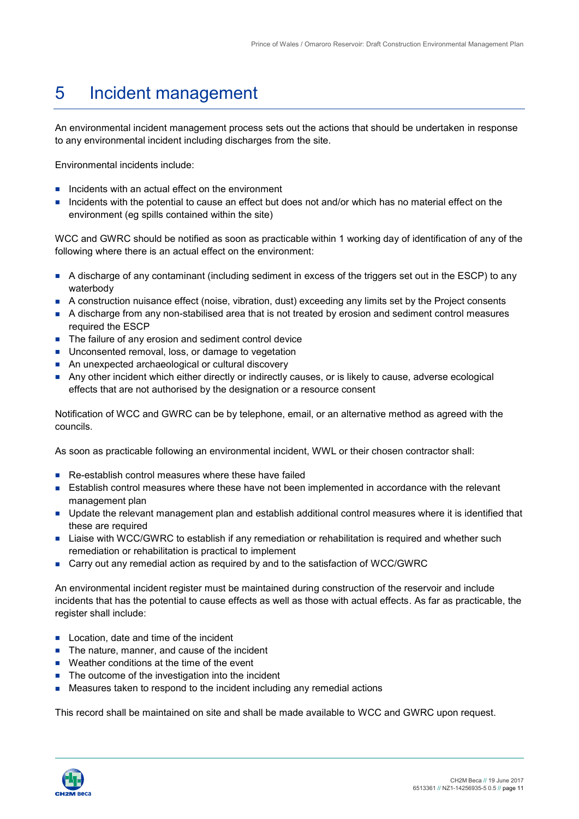#### 5 Incident management

An environmental incident management process sets out the actions that should be undertaken in response to any environmental incident including discharges from the site.

Environmental incidents include:

- $\blacksquare$  Incidents with an actual effect on the environment
- Incidents with the potential to cause an effect but does not and/or which has no material effect on the environment (eg spills contained within the site)

WCC and GWRC should be notified as soon as practicable within 1 working day of identification of any of the following where there is an actual effect on the environment:

- A discharge of any contaminant (including sediment in excess of the triggers set out in the ESCP) to any waterbody
- A construction nuisance effect (noise, vibration, dust) exceeding any limits set by the Project consents
- A discharge from any non-stabilised area that is not treated by erosion and sediment control measures required the ESCP
- **The failure of any erosion and sediment control device**
- **Unconsented removal, loss, or damage to vegetation**
- An unexpected archaeological or cultural discovery
- Any other incident which either directly or indirectly causes, or is likely to cause, adverse ecological effects that are not authorised by the designation or a resource consent

 Notification of WCC and GWRC can be by telephone, email, or an alternative method as agreed with the councils.

As soon as practicable following an environmental incident, WWL or their chosen contractor shall:

- Re-establish control measures where these have failed
- **Example 1** Establish control measures where these have not been implemented in accordance with the relevant management plan
- **Update the relevant management plan and establish additional control measures where it is identified that** these are required
- Liaise with WCC/GWRC to establish if any remediation or rehabilitation is required and whether such remediation or rehabilitation is practical to implement
- Carry out any remedial action as required by and to the satisfaction of WCC/GWRC

An environmental incident register must be maintained during construction of the reservoir and include incidents that has the potential to cause effects as well as those with actual effects. As far as practicable, the register shall include:

- **Location, date and time of the incident**
- $\blacksquare$  The nature, manner, and cause of the incident
- Weather conditions at the time of the event
- The outcome of the investigation into the incident
- **EXT** Measures taken to respond to the incident including any remedial actions

This record shall be maintained on site and shall be made available to WCC and GWRC upon request.

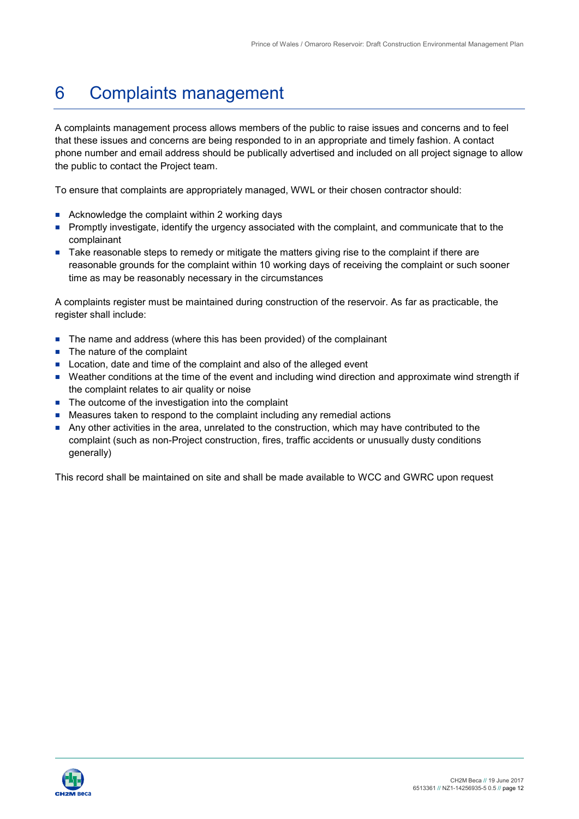#### 6 Complaints management

 A complaints management process allows members of the public to raise issues and concerns and to feel that these issues and concerns are being responded to in an appropriate and timely fashion. A contact phone number and email address should be publically advertised and included on all project signage to allow the public to contact the Project team.

To ensure that complaints are appropriately managed, WWL or their chosen contractor should:

- Acknowledge the complaint within 2 working days
- Promptly investigate, identify the urgency associated with the complaint, and communicate that to the complainant
- reasonable grounds for the complaint within 10 working days of receiving the complaint or such sooner time as may be reasonably necessary in the circumstances Take reasonable steps to remedy or mitigate the matters giving rise to the complaint if there are

A complaints register must be maintained during construction of the reservoir. As far as practicable, the register shall include:

- The name and address (where this has been provided) of the complainant
- The nature of the complaint
- Location, date and time of the complaint and also of the alleged event
- Weather conditions at the time of the event and including wind direction and approximate wind strength if the complaint relates to air quality or noise
- The outcome of the investigation into the complaint
- Measures taken to respond to the complaint including any remedial actions
- Any other activities in the area, unrelated to the construction, which may have contributed to the complaint (such as non-Project construction, fires, traffic accidents or unusually dusty conditions generally)

This record shall be maintained on site and shall be made available to WCC and GWRC upon request

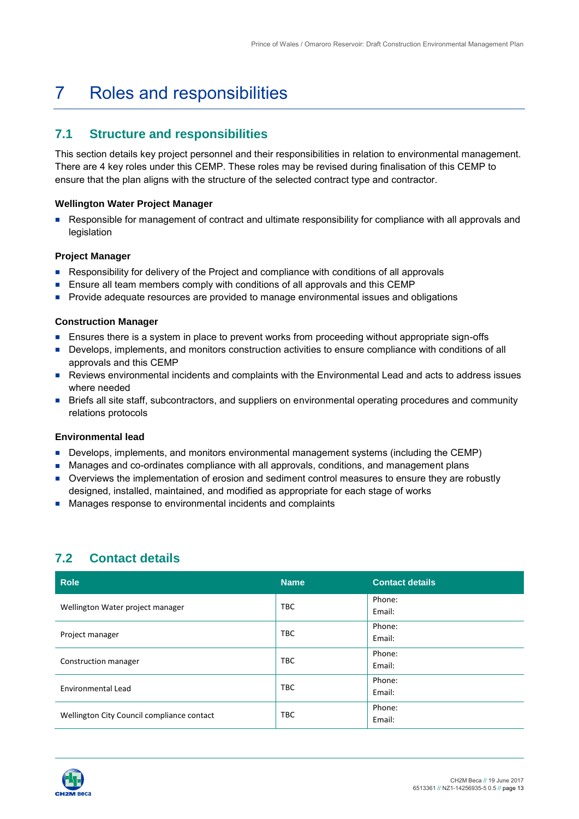#### 7 Roles and responsibilities

#### **7.1 Structure and responsibilities**

 This section details key project personnel and their responsibilities in relation to environmental management. There are 4 key roles under this CEMP. These roles may be revised during finalisation of this CEMP to ensure that the plan aligns with the structure of the selected contract type and contractor.

#### **Wellington Water Project Manager**

**Responsible for management of contract and ultimate responsibility for compliance with all approvals and** legislation

#### **Project Manager**

- Responsibility for delivery of the Project and compliance with conditions of all approvals
- **E** Ensure all team members comply with conditions of all approvals and this CEMP
- **Provide adequate resources are provided to manage environmental issues and obligations**

#### **Construction Manager**

- **Ensures there is a system in place to prevent works from proceeding without appropriate sign-offs**
- Develops, implements, and monitors construction activities to ensure compliance with conditions of all approvals and this CEMP
- Reviews environmental incidents and complaints with the Environmental Lead and acts to address issues where needed
- relations protocols Briefs all site staff, subcontractors, and suppliers on environmental operating procedures and community

#### **Environmental lead**

- **Develops, implements, and monitors environmental management systems (including the CEMP)**
- **Manages and co-ordinates compliance with all approvals, conditions, and management plans**
- designed, installed, maintained, and modified as appropriate for each stage of works Overviews the implementation of erosion and sediment control measures to ensure they are robustly
- **Manages response to environmental incidents and complaints**

## **7.2 Contact details**

| <b>Role</b>                                | <b>Name</b> | <b>Contact details</b> |
|--------------------------------------------|-------------|------------------------|
| Wellington Water project manager           | <b>TBC</b>  | Phone:<br>Email:       |
| Project manager                            | <b>TBC</b>  | Phone:<br>Email:       |
| Construction manager                       | <b>TBC</b>  | Phone:<br>Email:       |
| Environmental Lead                         | <b>TBC</b>  | Phone:<br>Email:       |
| Wellington City Council compliance contact | <b>TBC</b>  | Phone:<br>Email:       |